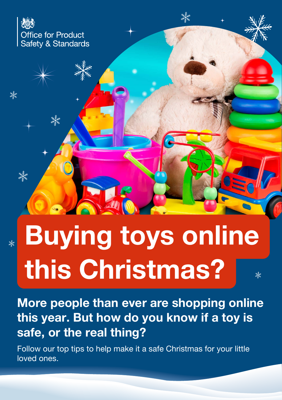

澲

 $\frac{1}{\sqrt{2}}$ 

 $\frac{1}{\sqrt{2}}$ 

# Buying toys online  $\overline{\ast}$ this Christmas?  $\overline{\mathbb{X}}$

More people than ever are shopping online this year. But how do you know if a toy is safe, or the real thing?

Follow our top tips to help make it a safe Christmas for your little loved ones.